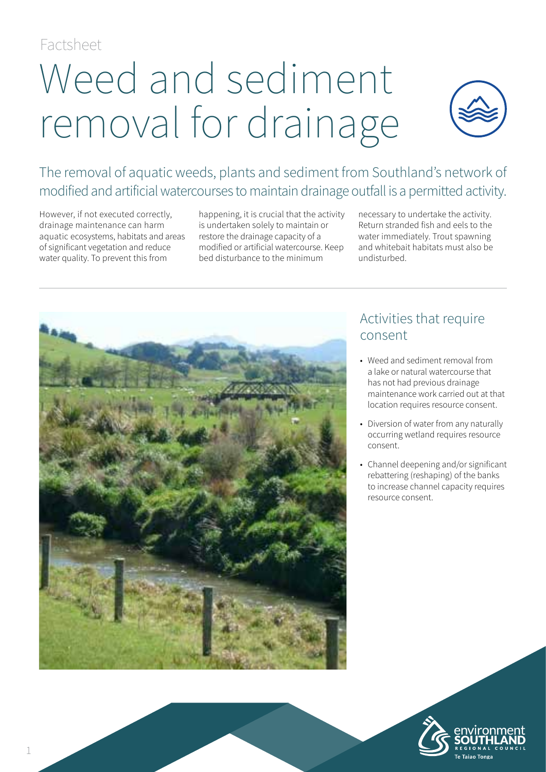Factsheet

# Weed and sediment removal for drainage



The removal of aquatic weeds, plants and sediment from Southland's network of modified and artificial watercourses to maintain drainage outfall is a permitted activity.

However, if not executed correctly, drainage maintenance can harm aquatic ecosystems, habitats and areas of significant vegetation and reduce water quality. To prevent this from

happening, it is crucial that the activity is undertaken solely to maintain or restore the drainage capacity of a modified or artificial watercourse. Keep bed disturbance to the minimum

necessary to undertake the activity. Return stranded fish and eels to the water immediately. Trout spawning and whitebait habitats must also be undisturbed.



## Activities that require consent

- Weed and sediment removal from a lake or natural watercourse that has not had previous drainage maintenance work carried out at that location requires resource consent.
- Diversion of water from any naturally occurring wetland requires resource consent.
- Channel deepening and/or significant rebattering (reshaping) of the banks to increase channel capacity requires resource consent.

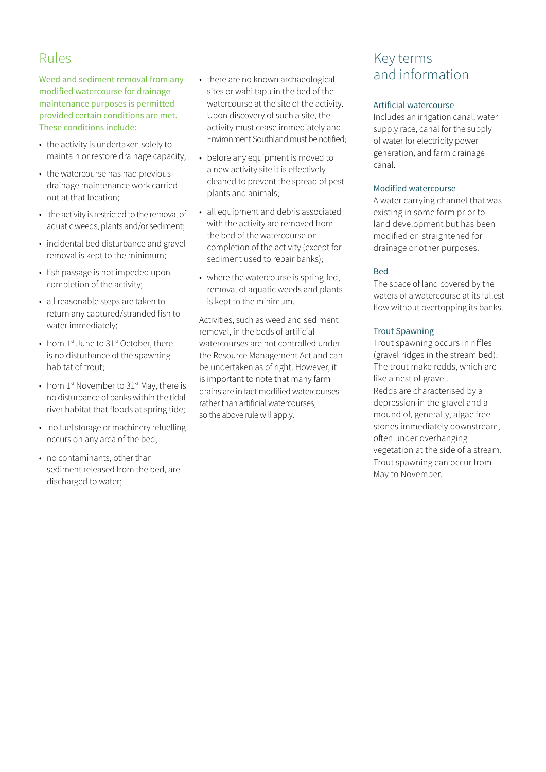## Rules

Weed and sediment removal from any modified watercourse for drainage maintenance purposes is permitted provided certain conditions are met. These conditions include:

- the activity is undertaken solely to maintain or restore drainage capacity;
- the watercourse has had previous drainage maintenance work carried out at that location;
- the activity is restricted to the removal of aquatic weeds, plants and/or sediment;
- incidental bed disturbance and gravel removal is kept to the minimum;
- fish passage is not impeded upon completion of the activity;
- all reasonable steps are taken to return any captured/stranded fish to water immediately;
- from 1st June to 31st October, there is no disturbance of the spawning habitat of trout;
- from  $1^{st}$  November to  $31^{st}$  May, there is no disturbance of banks within the tidal river habitat that floods at spring tide;
- no fuel storage or machinery refuelling occurs on any area of the bed;
- no contaminants, other than sediment released from the bed, are discharged to water;
- there are no known archaeological sites or wahi tapu in the bed of the watercourse at the site of the activity. Upon discovery of such a site, the activity must cease immediately and Environment Southland must be notified;
- before any equipment is moved to a new activity site it is effectively cleaned to prevent the spread of pest plants and animals;
- all equipment and debris associated with the activity are removed from the bed of the watercourse on completion of the activity (except for sediment used to repair banks);
- where the watercourse is spring-fed, removal of aquatic weeds and plants is kept to the minimum.

Activities, such as weed and sediment removal, in the beds of artificial watercourses are not controlled under the Resource Management Act and can be undertaken as of right. However, it is important to note that many farm drains are in fact modified watercourses rather than artificial watercourses, so the above rule will apply.

## Key terms and information

#### Artificial watercourse

Includes an irrigation canal, water supply race, canal for the supply of water for electricity power generation, and farm drainage canal.

#### Modified watercourse

A water carrying channel that was existing in some form prior to land development but has been modified or straightened for drainage or other purposes.

#### Bed

The space of land covered by the waters of a watercourse at its fullest flow without overtopping its banks.

#### Trout Spawning

Trout spawning occurs in riffles (gravel ridges in the stream bed). The trout make redds, which are like a nest of gravel. Redds are characterised by a depression in the gravel and a mound of, generally, algae free stones immediately downstream, often under overhanging vegetation at the side of a stream. Trout spawning can occur from May to November.